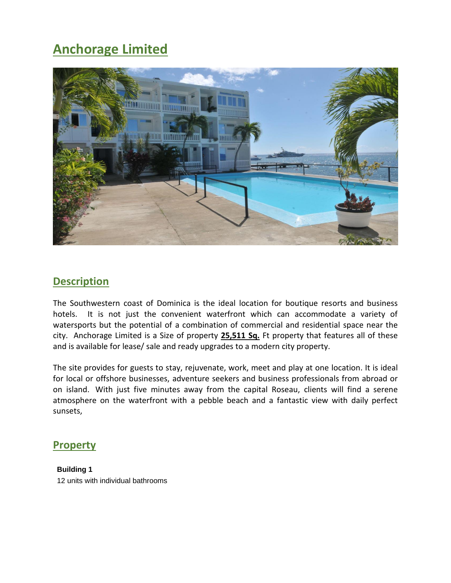# **Anchorage Limited**



## **Description**

The Southwestern coast of Dominica is the ideal location for boutique resorts and business hotels. It is not just the convenient waterfront which can accommodate a variety of watersports but the potential of a combination of commercial and residential space near the city. Anchorage Limited is a Size of property **25,511 Sq.** Ft property that features all of these and is available for lease/ sale and ready upgrades to a modern city property.

The site provides for guests to stay, rejuvenate, work, meet and play at one location. It is ideal for local or offshore businesses, adventure seekers and business professionals from abroad or on island. With just five minutes away from the capital Roseau, clients will find a serene atmosphere on the waterfront with a pebble beach and a fantastic view with daily perfect sunsets,

### **Property**

**Building 1** 12 units with individual bathrooms